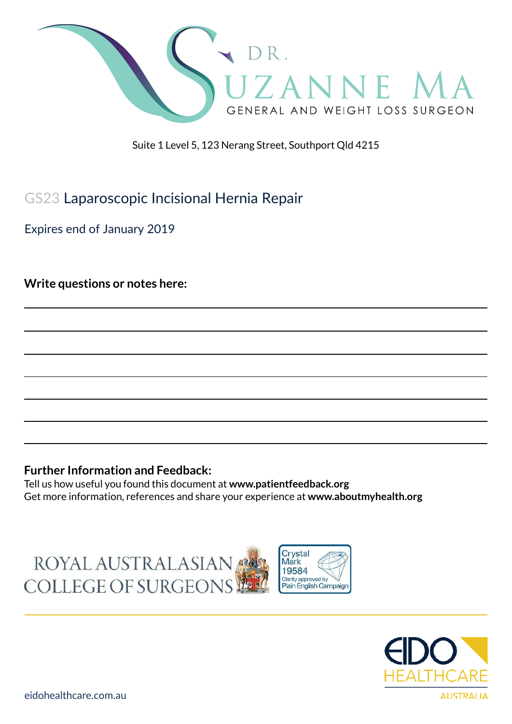

Suite 1 Level 5, 123 Nerang Street, Southport Qld 4215

# GS23 Laparoscopic Incisional Hernia Repair

Expires end of January 2019

**Write questions or notes here:**

### **Further Information and Feedback:**

Tell us how useful you found this document at **www.patientfeedback.org** Get more information, references and share your experience at **www.aboutmyhealth.org**





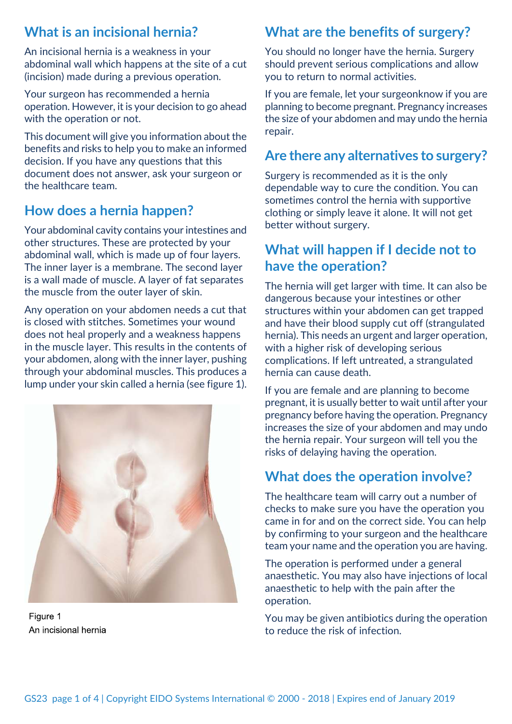## **What is an incisional hernia?**

An incisional hernia is a weakness in your abdominal wall which happens at the site of a cut (incision) made during a previous operation.

Your surgeon has recommended a hernia operation. However, it is your decision to go ahead with the operation or not.

This document will give you information about the benefits and risks to help you to make an informed decision. If you have any questions that this document does not answer, ask your surgeon or the healthcare team.

# **How does a hernia happen?**

Your abdominal cavity contains your intestines and other structures. These are protected by your abdominal wall, which is made up of four layers. The inner layer is a membrane. The second layer is a wall made of muscle. A layer of fat separates the muscle from the outer layer of skin.

Any operation on your abdomen needs a cut that is closed with stitches. Sometimes your wound does not heal properly and a weakness happens in the muscle layer. This results in the contents of your abdomen, along with the inner layer, pushing through your abdominal muscles. This produces a lump under your skin called a hernia (see figure 1).



Figure 1 An incisional hernia

# **What are the benefits of surgery?**

You should no longer have the hernia. Surgery should prevent serious complications and allow you to return to normal activities.

If you are female, let your surgeonknow if you are planning to become pregnant. Pregnancy increases the size of your abdomen and may undo the hernia repair.

## **Are there any alternatives to surgery?**

Surgery is recommended as it is the only dependable way to cure the condition. You can sometimes control the hernia with supportive clothing or simply leave it alone. It will not get better without surgery.

## **What will happen if I decide not to have the operation?**

The hernia will get larger with time. It can also be dangerous because your intestines or other structures within your abdomen can get trapped and have their blood supply cut off (strangulated hernia). This needs an urgent and larger operation, with a higher risk of developing serious complications. If left untreated, a strangulated hernia can cause death.

If you are female and are planning to become pregnant, it is usually better to wait until after your pregnancy before having the operation. Pregnancy increases the size of your abdomen and may undo the hernia repair. Your surgeon will tell you the risks of delaying having the operation.

# **What does the operation involve?**

The healthcare team will carry out a number of checks to make sure you have the operation you came in for and on the correct side. You can help by confirming to your surgeon and the healthcare team your name and the operation you are having.

The operation is performed under a general anaesthetic. You may also have injections of local anaesthetic to help with the pain after the operation.

You may be given antibiotics during the operation to reduce the risk of infection.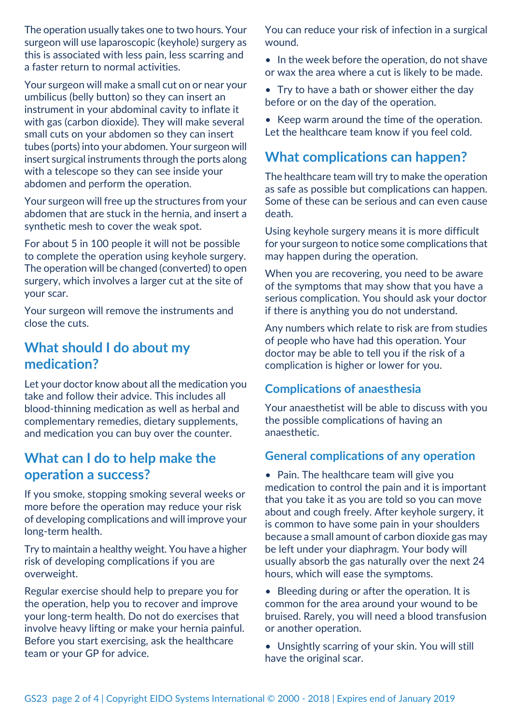The operation usually takes one to two hours. Your surgeon will use laparoscopic (keyhole) surgery as this is associated with less pain, less scarring and a faster return to normal activities.

Your surgeon will make a small cut on or near your umbilicus (belly button) so they can insert an instrument in your abdominal cavity to inflate it with gas (carbon dioxide). They will make several small cuts on your abdomen so they can insert tubes (ports) into your abdomen. Your surgeon will insert surgical instruments through the ports along with a telescope so they can see inside your abdomen and perform the operation.

Your surgeon will free up the structures from your abdomen that are stuck in the hernia, and insert a synthetic mesh to cover the weak spot.

For about 5 in 100 people it will not be possible to complete the operation using keyhole surgery. The operation will be changed (converted) to open surgery, which involves a larger cut at the site of your scar.

Your surgeon will remove the instruments and close the cuts.

### **What should I do about my medication?**

Let your doctor know about all the medication you take and follow their advice. This includes all blood-thinning medication as well as herbal and complementary remedies, dietary supplements, and medication you can buy over the counter.

### **What can I do to help make the operation a success?**

If you smoke, stopping smoking several weeks or more before the operation may reduce your risk of developing complications and will improve your long-term health.

Try to maintain a healthy weight. You have a higher risk of developing complications if you are overweight.

Regular exercise should help to prepare you for the operation, help you to recover and improve your long-term health. Do not do exercises that involve heavy lifting or make your hernia painful. Before you start exercising, ask the healthcare team or your GP for advice.

You can reduce your risk of infection in a surgical wound.

• In the week before the operation, do not shave or wax the area where a cut is likely to be made.

• Try to have a bath or shower either the day before or on the day of the operation.

• Keep warm around the time of the operation. Let the healthcare team know if you feel cold.

## **What complications can happen?**

The healthcare team will try to make the operation as safe as possible but complications can happen. Some of these can be serious and can even cause death.

Using keyhole surgery means it is more difficult for your surgeon to notice some complications that may happen during the operation.

When you are recovering, you need to be aware of the symptoms that may show that you have a serious complication. You should ask your doctor if there is anything you do not understand.

Any numbers which relate to risk are from studies of people who have had this operation. Your doctor may be able to tell you if the risk of a complication is higher or lower for you.

### **Complications of anaesthesia**

Your anaesthetist will be able to discuss with you the possible complications of having an anaesthetic.

### **General complications of any operation**

• Pain. The healthcare team will give you medication to control the pain and it is important that you take it as you are told so you can move about and cough freely. After keyhole surgery, it is common to have some pain in your shoulders because a small amount of carbon dioxide gas may be left under your diaphragm. Your body will usually absorb the gas naturally over the next 24 hours, which will ease the symptoms.

• Bleeding during or after the operation. It is common for the area around your wound to be bruised. Rarely, you will need a blood transfusion or another operation.

• Unsightly scarring of your skin. You will still have the original scar.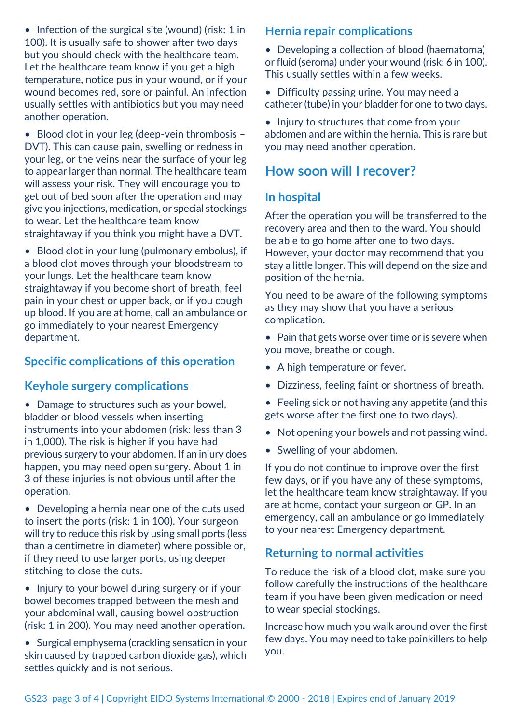• Infection of the surgical site (wound) (risk: 1 in 100). It is usually safe to shower after two days but you should check with the healthcare team. Let the healthcare team know if you get a high temperature, notice pus in your wound, or if your wound becomes red, sore or painful. An infection usually settles with antibiotics but you may need another operation.

• Blood clot in your leg (deep-vein thrombosis – DVT). This can cause pain, swelling or redness in your leg, or the veins near the surface of your leg to appear larger than normal. The healthcare team will assess your risk. They will encourage you to get out of bed soon after the operation and may give you injections, medication, or special stockings to wear. Let the healthcare team know straightaway if you think you might have a DVT.

• Blood clot in your lung (pulmonary embolus), if a blood clot moves through your bloodstream to your lungs. Let the healthcare team know straightaway if you become short of breath, feel pain in your chest or upper back, or if you cough up blood. If you are at home, call an ambulance or go immediately to your nearest Emergency department.

#### **Specific complications of this operation**

#### **Keyhole surgery complications**

• Damage to structures such as your bowel, bladder or blood vessels when inserting instruments into your abdomen (risk: less than 3 in 1,000). The risk is higher if you have had previous surgery to your abdomen. If an injury does happen, you may need open surgery. About 1 in 3 of these injuries is not obvious until after the operation.

• Developing a hernia near one of the cuts used to insert the ports (risk: 1 in 100). Your surgeon will try to reduce this risk by using small ports (less than a centimetre in diameter) where possible or, if they need to use larger ports, using deeper stitching to close the cuts.

• Injury to your bowel during surgery or if your bowel becomes trapped between the mesh and your abdominal wall, causing bowel obstruction (risk: 1 in 200). You may need another operation.

• Surgical emphysema (crackling sensation in your skin caused by trapped carbon dioxide gas), which settles quickly and is not serious.

#### **Hernia repair complications**

• Developing a collection of blood (haematoma) or fluid (seroma) under your wound (risk: 6 in 100). This usually settles within a few weeks.

- Difficulty passing urine. You may need a catheter (tube) in your bladder for one to two days.
- Injury to structures that come from your abdomen and are within the hernia. This is rare but you may need another operation.

### **How soon will I recover?**

### **In hospital**

After the operation you will be transferred to the recovery area and then to the ward. You should be able to go home after one to two days. However, your doctor may recommend that you stay a little longer. This will depend on the size and position of the hernia.

You need to be aware of the following symptoms as they may show that you have a serious complication.

- Pain that gets worse over time or is severe when you move, breathe or cough.
- A high temperature or fever.
- Dizziness, feeling faint or shortness of breath.
- Feeling sick or not having any appetite (and this gets worse after the first one to two days).
- Not opening your bowels and not passing wind.
- Swelling of your abdomen.

If you do not continue to improve over the first few days, or if you have any of these symptoms, let the healthcare team know straightaway. If you are at home, contact your surgeon or GP. In an emergency, call an ambulance or go immediately to your nearest Emergency department.

#### **Returning to normal activities**

To reduce the risk of a blood clot, make sure you follow carefully the instructions of the healthcare team if you have been given medication or need to wear special stockings.

Increase how much you walk around over the first few days. You may need to take painkillers to help you.